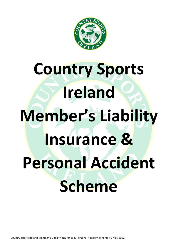

# **Country Sports Ireland Member's Liability Insurance & Personal Accident Scheme**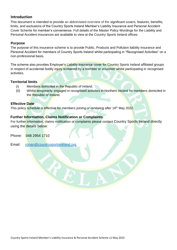# **Introduction**

This document is intended to provide an abbreviated overview of the significant covers, features, benefits, limits, and exclusions of the Country Sports Ireland Member's Liability Insurance and Personal Accident Cover Scheme for member's convenience. Full details of the Master Policy Wordings for the Liability and Personal Accident insurances are available to view at the Country Sports Ireland offices.

# **Purpose**

The purpose of this insurance scheme is to provide Public, Products and Pollution liability insurance and Personal Accident for members of Country Sports Ireland whilst participating in "Recognised Activities" on a non-professional basis.

The scheme also provides Employer's Liability insurance cover for Country Sports Ireland affiliated groups in respect of accidental bodily injury sustained by a member or volunteer whilst participating in recognised activities.

# **Territorial limits**

- (i) Members domiciled in the Republic of Ireland.
- (ii) Whilst temporarily engaged in recognised activities in Northern Ireland for members domiciled in the Republic of Ireland.

# **Effective Date**

This policy schedule is effective for members joining or renewing after 16<sup>th</sup> May 2022.

# **Further Information, Claims Notification or Complaints**

For further information, claims notification or complaints please contact Country Sports Ireland directly using the details below:

Phone: 048 2954 1710

Email: [ronan@countrysportsireland.org](mailto:ronan@countrysportsireland.org)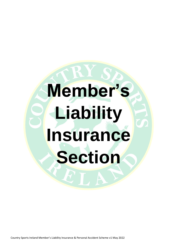# **Member's Liability Insurance Section**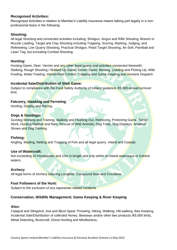# **Recognised Activities:**

Recognised Activities in relation to Member's Liability insurance means talking part legally in a nonprofessional basis in the following:

# **Shooting:**

All legal Shooting and connected activities including; Shotgun, Airgun and Rifle Shooting, Breech or Muzzle Loading, Target and Clay Shooting including Trapping, Scoring, Marking, Judging, and Refereeing, Live Quarry Shooting, Practical Shotgun, Pistol Target Shooting, Air-Soft, Paintball and Laser Tag, but excluding Combat Shooting.

# **Hunting:**

Hunting Game, Deer, Vermin and any other legal quarry and activities connected therewith; Stalking, Rough Shooting / Walked Up Game, Driven Game, Beating, Loading and Picking Up, Wild Fowling, Water Fowling, Vermin/Pest Control, Trapping and Game Keeping and Humane Dispatch.

# **Incidental Sale/Distribution of Shot Game:**

Subject to compliance with the Food Safety Authority of Ireland guidance. €5,000 annual turnover limit.

# **Falconry, Hawking and Ferreting**:

Hunting, Display and Racing.

# **Dogs & Gundogs:**

Gundog Working and Training, Stalking and Flushing Out, Retrieving, Protecting Game, Terrier Work, Hunting Rabbits and Rats, Rescue of Wild Animals, Dog Trials, Dog Displays, Amateur Shows and Dog Training.

# **Fishing:**

Angling, Wading, Netting and Trapping of Fish and all legal quarry. Inland and Coastal.

# **Use of Watercraft:**

Not exceeding 10 Horsepower and 10m in length and only whilst on inland waterways or inshore waters.

# **Archery:**

All legal forms of Archery inducing Longbow, Compound Bow and Crossbow.

# **Foot Followers of the Hunt:**

Subject to the exclusion of any equestrian related incidents

# **Conservation; Wildlife Management; Game Keeping & River Keeping**

# **Also:**

Catapult and Slingshot, Axe and Blunt Spear Throwing, Hiking, Walking, Hill-walking, Bee Keeping, Incidental Sale/Distribution of collected Honey, Beeswax and/or other bee products (€5,000 limit), Metal Detecting, Bushcraft, Ghost Hunting and Mindfulness**.**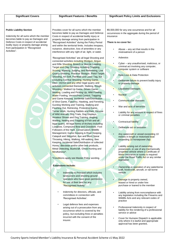### Significant Covers **Significant Features / Benefits** Significant Policy Limits and Exclusions

### **Public Liability Section**

Indemnity for all sums which the member becomes liable to pay as Damages and Defence Costs in respect of accidental bodily injury or property damage arising from participation in "Recognised Activities".

Provides cover for all sums which the member becomes liable to pay as Damages and Defence Costs in respect of accidental bodily injury or property damage arising from participation in "Recognised Activities" during the Policy Period and within the territorial limits. Includes trespass, nuisance, obstruction, loss of amenities or any interference with any right of air, light, or water.

'Recognised Activities" are all legal Shooting and connected activities including Shotgun, Airgun and Rifle Shooting, Breech or Muzzle Loading, Target and Clay Shooting including Trapping, Scoring, Marking, Judging, and Refereeing, Live Quarry Shooting, Practical Shotgun, Pistol Target Shooting, Air-Soft, Paintball and Laser Tag, but excluding Combat Shooting. Hunting Game, Deer, Vermin and any other legal quarry and activities connected therewith; Stalking, Rough Shooting / Walked Up Game, Driven Game, Beating, Loading and Picking Up, Wild Fowling, Water Fowling, Vermin/Pest Control, Trapping and Game Keeping. Incidental Sale/Distribution of Shot Game, Falconry, Hawking, and Ferreting, Gundog Working and Training, Stalking and Flushing Out, Retrieving, Protecting Game, Terrier Work, Hunting Rabbits and Rats, Rescue of Wild Animals, Dog Trials, Dog Displays, Amateur Shows and Dog Training. Angling, Wading, Netting and Trapping of Fish and all legal quarry. All legal forms of Archery including Longbow, Compound Bow and Crossbow. Foot Followers of the Hunt, Conservation; Wildlife Management; Game Keeping & River Keeping. Catapult and Slingshot, Axe and Blunt Spear Throwing, Hiking, Walking, Hill-walking, Bee Keeping, Incidental Sale/Distribution of collected Honey, Beeswax and/or other bee products, Metal Detecting, Bushcraft, Ghost Hunting and Mindfulness\*.

\*Conditions apply see Master Policy wording.

### **Extensions include:**

- Indemnity to Principal which includes landowners and shooting ground operators who have given permission for use of their land for any "Recognised Activity"
- Indemnity for directors, officials, and committees in connection with 'Recognised Activities'.
- Legal defence fees and expenses arising out of a prosecution from any occurrence which is covered by the policy, but excluding fines or penalties incurred with the consent of the ineurer.

€6,500,000 for any one occurrence and for all occurrences in the aggregate during the period of insurance

### **There is no cover for:**

- Abuse  $-$  any act that results in the mistreatment of a person
- **Asbestos**
- Cyber any unauthorised, malicious, or criminal act involving any computer, computer system or software
	- Data Loss & Data Protection
- Deliberate failure to prevent bodily injury or property damage
- Liquidated Damages
- **Nuclear**
- Communicable diseases
- War and **acts** of terrorism
- Liability for any amount in respect of fines or criminal penalties
- Contractual liability
- Deliberate act or omission
- Any watercraft or vessel exceeding 10 metres in length or motorised boat exceeding 10 horsepower (hp)
	- Liability arising out of ownership, possession, or use of any mechanically propelled vehicle where a Certificate of Motor Insurance or surety is required under the Road Traffic Act or any similar legislation
- Ownership or operation of any waterborne craft, hovercraft, aircraft, or rail borne vehicle
- Damage to property owned, leased or hired or under hire purchase or loaned to the member
- Liability arising from noncompliance with any legislation including the Firearms and Wildlife Acts and any relevant codes of practice
- Professional Indemnity in respect of liability for the rendering of a professional service or advice
- Cover for Humane Dispatch is applicable only where it is lawful and appropriate approval has been granted**.**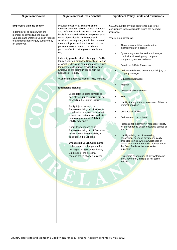| <b>Significant Covers</b>                                                                                                                                                                                      | <b>Significant Features / Benefits</b>                                                                                                                                                                                                                                                                                                                                                                                                                                                                                                                                                                                                                                                                                                                                                                                                                                                                                                                                                                                                                                                                                                                                                                                                                                                                                                                                                                                     | <b>Significant Policy Limits and Exclusions</b>                                                                                                                                                                                                                                                                                                                                                                                                                                                                                                                                                                                                                                                                                                                                                                                                                                                                                                                                                                                                                                                          |  |
|----------------------------------------------------------------------------------------------------------------------------------------------------------------------------------------------------------------|----------------------------------------------------------------------------------------------------------------------------------------------------------------------------------------------------------------------------------------------------------------------------------------------------------------------------------------------------------------------------------------------------------------------------------------------------------------------------------------------------------------------------------------------------------------------------------------------------------------------------------------------------------------------------------------------------------------------------------------------------------------------------------------------------------------------------------------------------------------------------------------------------------------------------------------------------------------------------------------------------------------------------------------------------------------------------------------------------------------------------------------------------------------------------------------------------------------------------------------------------------------------------------------------------------------------------------------------------------------------------------------------------------------------------|----------------------------------------------------------------------------------------------------------------------------------------------------------------------------------------------------------------------------------------------------------------------------------------------------------------------------------------------------------------------------------------------------------------------------------------------------------------------------------------------------------------------------------------------------------------------------------------------------------------------------------------------------------------------------------------------------------------------------------------------------------------------------------------------------------------------------------------------------------------------------------------------------------------------------------------------------------------------------------------------------------------------------------------------------------------------------------------------------------|--|
| <b>Employer's Liability Section</b><br>Indemnity for all sums which the<br>member becomes liable to pay as<br>Damages and Defence Costs in respect<br>of accidental bodily injury sustained by<br>an Employee. | Provides cover for all sums which the<br>member becomes liable to pay as Damages<br>and Defence Costs in respect of accidental<br>bodily injury sustained by an Employee as a<br>result of participation in "Recognised<br>Activities", arising from, and in the course of<br>their employment with the Insured or in the<br>performance of a contract the primary<br>purpose of which is the provision of labour<br>only.<br>Indemnity provided shall only apply to Bodily<br>Injury sustained within the Republic of Ireland<br>or whilst undertaking non-manual work during<br>temporary visits abroad provided that such<br>Employees are ordinarily resident in the<br>Republic of Ireland.<br>*Conditions apply see Master Policy wording.<br><b>Extensions include:</b><br>Legal defence costs payable as<br>part of the Limit of Liability, but not<br>exceeding the Limit of Liability<br>Bodily Injury caused to an<br>Employee arising out of exposure<br>to asbestos or alleged exposure to<br>asbestos or materials or products<br>containing asbestos. Sub limit of<br>liability may apply.<br>Bodily Injury caused to an<br>Employee arising out of Terrorism,<br>where a sub-Limit of Liability is<br>specified in the Schedule.<br><b>Unsatisfied Court Judgements</b><br>In the event of a Judgement for<br>Damages being obtained by any<br>Employee or the personal<br>representative of any Employee. | €13,000,000 for any one occurrence and for all<br>occurrences in the aggregate during the period of<br>insurance.<br>There is no cover for:<br>Abuse – any act that results in the<br>mistreatment of a person<br>Cyber – any unauthorised, malicious, or<br>criminal act involving any computer,<br>computer system or software<br>Data Loss & Data Protection<br>Deliberate failure to prevent bodily injury or<br>property damage<br><b>Liquidated Damages</b><br><b>Nuclear</b><br>Communicable diseases<br>War<br>Liability for any amount in respect of fines or<br>criminal penalties<br>Contractual liability<br>Deliberate act or omission<br>Professional Indemnity in respect of liability<br>for the rendering of a professional service or<br>advice<br>Liability arising out of ownership,<br>possession, or use of any mechanically<br>propelled vehicle where a Certificate of<br>Motor Insurance or surety is required under<br>the Road Traffic Act or any similar<br>legislation<br>Ownership or operation of any waterborne<br>craft, hovercraft, aircraft, or rail borne<br>vehicle |  |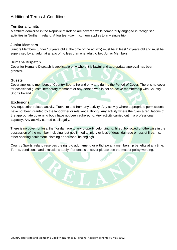# Additional Terms & Conditions

# **Territorial Limits**

Members domiciled in the Republic of Ireland are covered whilst temporarily engaged in recognised activities in Northern Ireland. A fourteen-day maximum applies to any single trip.

# **Junior Members**

Juniors Members (under 18 years old at the time of the activity) must be at least 12 years old and must be supervised by an adult at a ratio of no less than one adult to two Junior Members.

# **Humane Dispatch**

Cover for Humane Dispatch is applicable only where it is lawful and appropriate approval has been granted**.**

# **Guests**

Cover applies to members of Country Sports Ireland only and during the Period of Cover. There is no cover for occasional guests, temporary members or any person who is not an active membership with Country Sports Ireland.

# **Exclusions**

Any equestrian related activity. Travel to and from any activity. Any activity where appropriate permissions have not been granted by the landowner or relevant authority. Any activity where the rules & regulations of the appropriate governing body have not been adhered to. Any activity carried out in a professional capacity. Any activity carried out illegally.

There is no cover for loss, theft or damage to any property belonging to, hired, borrowed or otherwise in the possession of the member including, but not limited to injury or loss of dogs, damage or loss of firearms, other sporting equipment, clothing or personal belongings.

Country Sports Ireland reserves the right to add, amend or withdraw any membership benefits at any time. Terms, conditions, and exclusions apply. For details of cover please see the master policy wording.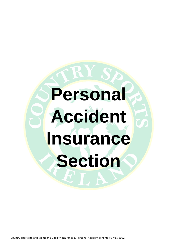# **Personal Accident Insurance Section**

Country Sports Ireland Member's Liability Insurance & Personal Accident Scheme v1 May 2022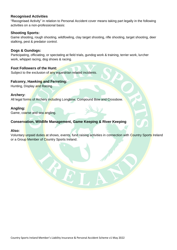# **Recognised Activities**

"Recognised Activity" in relation to Personal Accident cover means taking part legally in the following activities on a non-professional basis:

# **Shooting Sports:**

Game shooting, rough shooting, wildfowling, clay target shooting, rifle shooting, target shooting, deer stalking, pest & predator control.

# **Dogs & Gundogs:**

Participating, officiating, or spectating at field trials, gundog work & training, terrier work, lurcher work, whippet racing, dog shows & racing.

# **Foot Followers of the Hunt:**

Subject to the exclusion of any equestrian related incidents.

# **Falconry, Hawking and Ferreting:**

Hunting, Display and Racing.

# **Archery:**

All legal forms of Archery including Longbow, Compound Bow and Crossbow.

## **Angling:**

Game, coarse and sea angling.

# **Conservation, Wildlife Management, Game Keeping & River Keeping**

# **Also:**

Voluntary unpaid duties at shows, events, fund raising activities in connection with Country Sports Ireland or a Group Member of Country Sports Ireland.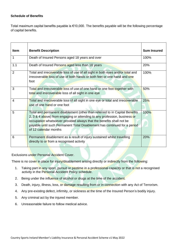## **Schedule of Benefits**

Total maximum capital benefits payable is €10,000. The benefits payable will be the following percentage of capital benefits.

| <b>Item</b>    | <b>Benefit Description</b>                                                                                                                                                                                                                                                                                                             | <b>Sum Insured</b> |
|----------------|----------------------------------------------------------------------------------------------------------------------------------------------------------------------------------------------------------------------------------------------------------------------------------------------------------------------------------------|--------------------|
| 1              | Death of Insured Persons aged 18 years and over                                                                                                                                                                                                                                                                                        | 100%               |
| 1.1            | Death of Insured Persons aged less than 18 years                                                                                                                                                                                                                                                                                       | 20%                |
| 2              | Total and irrecoverable loss of use of all sight in both eyes and/or total and<br>irrecoverable loss of use of both hands or both feet or one hand and one<br>foot                                                                                                                                                                     | 100%               |
| 3              | Total and irrecoverable loss of use of one hand or one foot together with<br>total and irrecoverable loss of all sight in one eye                                                                                                                                                                                                      | 50%                |
| $\overline{4}$ | Total and irrecoverable loss of all sight in one eye or total and irrecoverable<br>use of one hand or one foot                                                                                                                                                                                                                         | 25%                |
| 5              | Total and permanent disablement (other than referred to in Capital Benefits<br>2, 3 & 4 above) from engaging or attending to any profession, business or<br>occupation whatsoever provided always that the benefits shall not be<br>payable until such Permanent Total Disablement has continued for a period<br>of 12 calendar months | 100%               |
| 6              | Permanent disablement as a result of injury sustained whilst travelling<br>directly to or from a recognised activity                                                                                                                                                                                                                   | 20%                |

Exclusions under Personal Accident Cover.

There is no cover in place for injury/disablement arising directly or indirectly from the following:

- 1. Taking part in any sport, pursuit or pastime in a professional capacity or that is not a recognised activity in the Personal Accident Policy schedule.
- 2. Being under the influence of alcohol or drugs at the time of the accident.
- 3. Death, injury, illness, loss, or damage resulting from or in connection with any Act of Terrorism.
- 4. Any pre-existing defect, infirmity, or sickness at the time of the Insured Person's bodily injury.
- 5. Any criminal act by the injured member.
- 6. Unreasonable failure to follow medical advice.